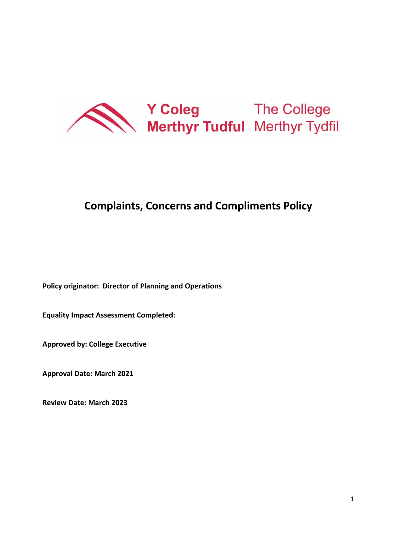

# **Complaints, Concerns and Compliments Policy**

**Policy originator: Director of Planning and Operations** 

**Equality Impact Assessment Completed:** 

**Approved by: College Executive** 

**Approval Date: March 2021**

**Review Date: March 2023**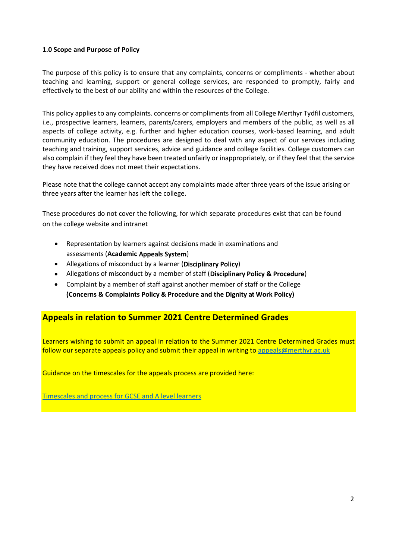#### **1.0 Scope and Purpose of Policy**

The purpose of this policy is to ensure that any complaints, concerns or compliments - whether about teaching and learning, support or general college services, are responded to promptly, fairly and effectively to the best of our ability and within the resources of the College.

This policy applies to any complaints. concerns or compliments from all College Merthyr Tydfil customers, i.e., prospective learners, learners, parents/carers, employers and members of the public, as well as all aspects of college activity, e.g. further and higher education courses, work-based learning, and adult community education. The procedures are designed to deal with any aspect of our services including teaching and training, support services, advice and guidance and college facilities. College customers can also complain if they feel they have been treated unfairly or inappropriately, or if they feel that the service they have received does not meet their expectations.

Please note that the college cannot accept any complaints made after three years of the issue arising or three years after the learner has left the college.

These procedures do not cover the following, for which separate procedures exist that can be found on the college website and intranet

- Representation by learners against decisions made in examinations and assessments (**Academic Appeals System**)
- Allegations of misconduct by a learner (**Disciplinary Policy**)
- Allegations of misconduct by a member of staff (**Disciplinary Policy & Procedure**)
- Complaint by a member of staff against another member of staff or the College **(Concerns & Complaints Policy & Procedure and the Dignity at Work Policy)**

## **Appeals in relation to Summer 2021 Centre Determined Grades**

Learners wishing to submit an appeal in relation to the Summer 2021 Centre Determined Grades must follow our separate appeals policy and submit their appeal in writing to [appeals@merthyr.ac.uk](mailto:appeals@merthyr.ac.uk)

Guidance on the timescales for the appeals process are provided here:

Timescales and process for GCSE and A level learners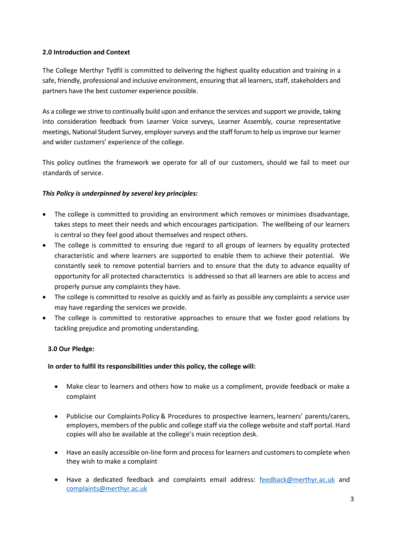#### **2.0 Introduction and Context**

The College Merthyr Tydfil is committed to delivering the highest quality education and training in a safe, friendly, professional and inclusive environment, ensuring that all learners, staff, stakeholders and partners have the best customer experience possible.

As a college we strive to continually build upon and enhance the services and support we provide, taking into consideration feedback from Learner Voice surveys, Learner Assembly, course representative meetings, National Student Survey, employer surveys and the staff forum to help us improve our learner and wider customers' experience of the college.

This policy outlines the framework we operate for all of our customers, should we fail to meet our standards of service.

#### *This Policy is underpinned by several key principles:*

- The college is committed to providing an environment which removes or minimises disadvantage, takes steps to meet their needs and which encourages participation. The wellbeing of our learners is central so they feel good about themselves and respect others.
- The college is committed to ensuring due regard to all groups of learners by equality protected characteristic and where learners are supported to enable them to achieve their potential. We constantly seek to remove potential barriers and to ensure that the duty to advance equality of opportunity for all protected characteristics is addressed so that all learners are able to access and properly pursue any complaints they have.
- The college is committed to resolve as quickly and as fairly as possible any complaints a service user may have regarding the services we provide.
- The college is committed to restorative approaches to ensure that we foster good relations by tackling prejudice and promoting understanding.

#### **3.0 Our Pledge:**

#### **In order to fulfil its responsibilities under this policy, the college will:**

- Make clear to learners and others how to make us a compliment, provide feedback or make a complaint
- Publicise our Complaints Policy & Procedures to prospective learners, learners' parents/carers, employers, members of the public and college staff via the college website and staff portal. Hard copies will also be available at the college's main reception desk.
- Have an easily accessible on-line form and process for learners and customers to complete when they wish to make a complaint
- Have a dedicated feedback and complaints email address: [feedback@merthyr.ac.uk](mailto:feedback@merthyr.ac.uk) and [complaints@merthyr.ac.uk](mailto:complaints@merthyr.ac.uk)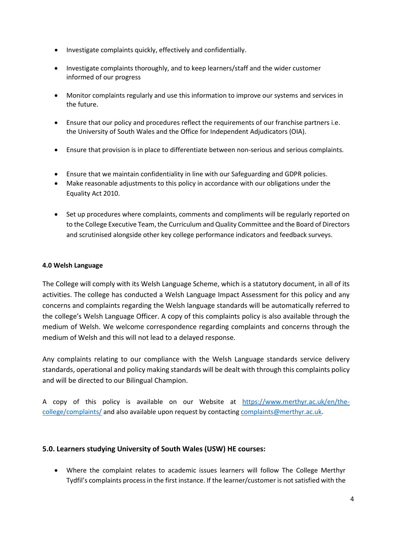- Investigate complaints quickly, effectively and confidentially.
- Investigate complaints thoroughly, and to keep learners/staff and the wider customer informed of our progress
- Monitor complaints regularly and use this information to improve our systems and services in the future.
- Ensure that our policy and procedures reflect the requirements of our franchise partners i.e. the University of South Wales and the Office for Independent Adjudicators (OIA).
- Ensure that provision is in place to differentiate between non-serious and serious complaints.
- Ensure that we maintain confidentiality in line with our Safeguarding and GDPR policies.
- Make reasonable adjustments to this policy in accordance with our obligations under the Equality Act 2010.
- Set up procedures where complaints, comments and compliments will be regularly reported on to the College Executive Team, the Curriculum and Quality Committee and the Board of Directors and scrutinised alongside other key college performance indicators and feedback surveys.

#### **4.0 Welsh Language**

The College will comply with its Welsh Language Scheme, which is a statutory document, in all of its activities. The college has conducted a Welsh Language Impact Assessment for this policy and any concerns and complaints regarding the Welsh language standards will be automatically referred to the college's Welsh Language Officer. A copy of this complaints policy is also available through the medium of Welsh. We welcome correspondence regarding complaints and concerns through the medium of Welsh and this will not lead to a delayed response.

Any complaints relating to our compliance with the Welsh Language standards service delivery standards, operational and policy making standards will be dealt with through this complaints policy and will be directed to our Bilingual Champion.

A copy of this policy is available on our Website at [https://www.merthyr.ac.uk/en/the](https://www.merthyr.ac.uk/en/the-college/complaints/)[college/complaints/](https://www.merthyr.ac.uk/en/the-college/complaints/) and also available upon request by contactin[g complaints@merthyr.ac.uk.](mailto:complaints@merthyr.ac.uk)

#### **5.0. Learners studying University of South Wales (USW) HE courses:**

• Where the complaint relates to academic issues learners will follow The College Merthyr Tydfil's complaints process in the first instance. If the learner/customer is not satisfied with the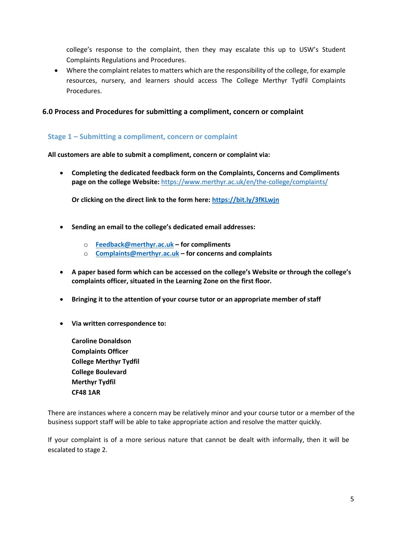college's response to the complaint, then they may escalate this up to USW's Student Complaints Regulations and Procedures.

• Where the complaint relates to matters which are the responsibility of the college, for example resources, nursery, and learners should access The College Merthyr Tydfil Complaints Procedures.

#### **6.0 Process and Procedures for submitting a compliment, concern or complaint**

#### **Stage 1 – Submitting a compliment, concern or complaint**

**All customers are able to submit a compliment, concern or complaint via:**

• **Completing the dedicated feedback form on the Complaints, Concerns and Compliments page on the college Website:** <https://www.merthyr.ac.uk/en/the-college/complaints/>

**Or clicking on the direct link to the form here:<https://bit.ly/3fKLwjn>**

- **Sending an email to the college's dedicated email addresses:**
	- o **[Feedback@merthyr.ac.uk](mailto:Feedback@merthyr.ac.uk) – for compliments**
	- o **[Complaints@merthyr.ac.uk](mailto:Complaints@merthyr.ac.uk) – for concerns and complaints**
- **A paper based form which can be accessed on the college's Website or through the college's complaints officer, situated in the Learning Zone on the first floor.**
- **Bringing it to the attention of your course tutor or an appropriate member of staff**
- **Via written correspondence to:**

**Caroline Donaldson Complaints Officer College Merthyr Tydfil College Boulevard Merthyr Tydfil CF48 1AR** 

There are instances where a concern may be relatively minor and your course tutor or a member of the business support staff will be able to take appropriate action and resolve the matter quickly.

If your complaint is of a more serious nature that cannot be dealt with informally, then it will be escalated to stage 2.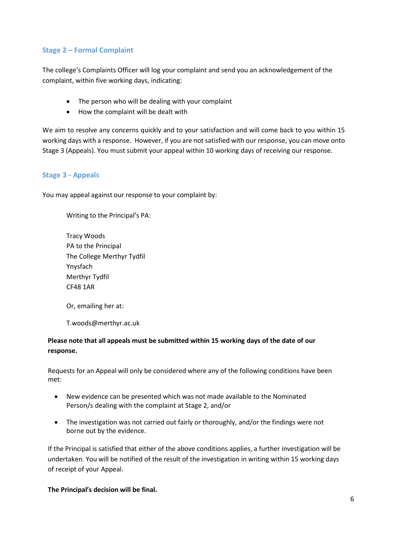#### **Stage 2 – Formal Complaint**

The college's Complaints Officer will log your complaint and send you an acknowledgement of the complaint, within five working days, indicating:

- The person who will be dealing with your complaint
- How the complaint will be dealt with

We aim to resolve any concerns quickly and to your satisfaction and will come back to you within 15 working days with a response. However, if you are not satisfied with our response, you can move onto Stage 3 (Appeals). You must submit your appeal within 10 working days of receiving our response.

#### **Stage 3 - Appeals**

You may appeal against our response to your complaint by:

Writing to the Principal's PA:

Tracy Woods PA to the Principal The College Merthyr Tydfil Ynysfach Merthyr Tydfil CF48 1AR

Or, emailing her at:

T.woods@merthyr.ac.uk

#### **Please note that all appeals must be submitted within 15 working days of the date of our response.**

Requests for an Appeal will only be considered where any of the following conditions have been met:

- New evidence can be presented which was not made available to the Nominated Person/s dealing with the complaint at Stage 2, and/or
- The investigation was not carried out fairly or thoroughly, and/or the findings were not borne out by the evidence.

If the Principal is satisfied that either of the above conditions applies, a further investigation will be undertaken. You will be notified of the result of the investigation in writing within 15 working days of receipt of your Appeal.

**The Principal's decision will be final.**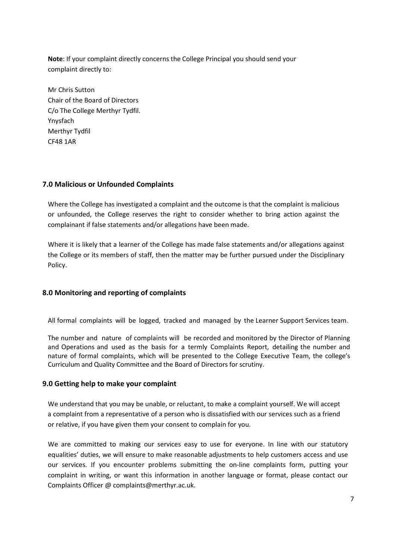**Note**: If your complaint directly concerns the College Principal you should send your complaint directly to:

Mr Chris Sutton Chair of the Board of Directors C/o The College Merthyr Tydfil. Ynysfach Merthyr Tydfil CF48 1AR

#### **7.0 Malicious or Unfounded Complaints**

Where the College has investigated a complaint and the outcome is that the complaint is malicious or unfounded, the College reserves the right to consider whether to bring action against the complainant if false statements and/or allegations have been made.

Where it is likely that a learner of the College has made false statements and/or allegations against the College or its members of staff, then the matter may be further pursued under the Disciplinary Policy.

#### **8.0 Monitoring and reporting of complaints**

All formal complaints will be logged, tracked and managed by the Learner Support Services team.

The number and nature of complaints will be recorded and monitored by the Director of Planning and Operations and used as the basis for a termly Complaints Report, detailing the number and nature of formal complaints, which will be presented to the College Executive Team, the college's Curriculum and Quality Committee and the Board of Directors for scrutiny.

#### **9.0 Getting help to make your complaint**

We understand that you may be unable, or reluctant, to make a complaint yourself. We will accept a complaint from a representative of a person who is dissatisfied with our services such as a friend or relative, if you have given them your consent to complain for you.

We are committed to making our services easy to use for everyone. In line with our statutory equalities' duties, we will ensure to make reasonable adjustments to help customers access and use our services. If you encounter problems submitting the on-line complaints form, putting your complaint in writing, or want this information in another language or format, please contact our Complaints Officer @ complaints@merthyr.ac.uk.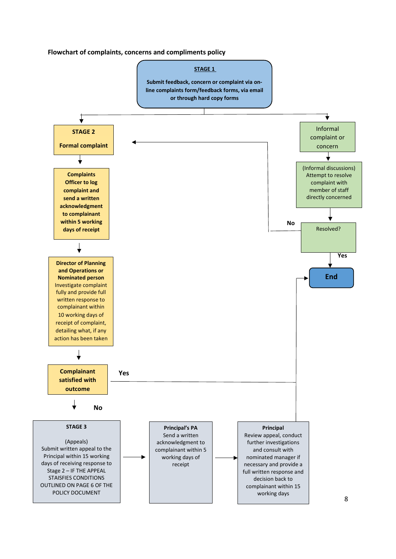**Flowchart of complaints, concerns and compliments policy** 

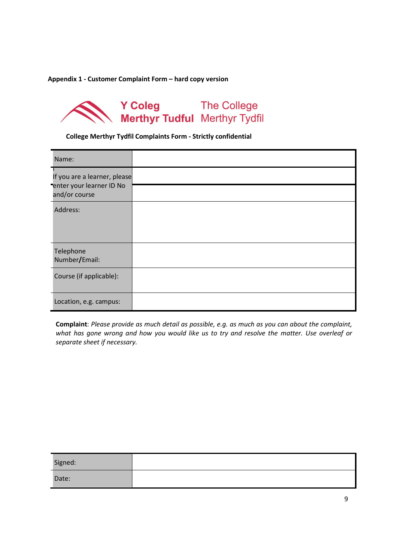**Appendix 1 - Customer Complaint Form – hard copy version** 

# Y Coleg<br>
Merthyr Tudful Merthyr Tydfil

**College Merthyr Tydfil Complaints Form - Strictly confidential**

| Name:                                                                     |  |
|---------------------------------------------------------------------------|--|
| If you are a learner, please<br>enter your learner ID No<br>and/or course |  |
|                                                                           |  |
| Address:                                                                  |  |
| Telephone<br>Number/Email:                                                |  |
| Course (if applicable):                                                   |  |
| Location, e.g. campus:                                                    |  |

**Complaint**: *Please provide as much detail as possible, e.g. as much as you can about the complaint, what has gone wrong and how you would like us to try and resolve the matter. Use overleaf or separate sheet if necessary.*

| Signed: |  |
|---------|--|
| Date:   |  |